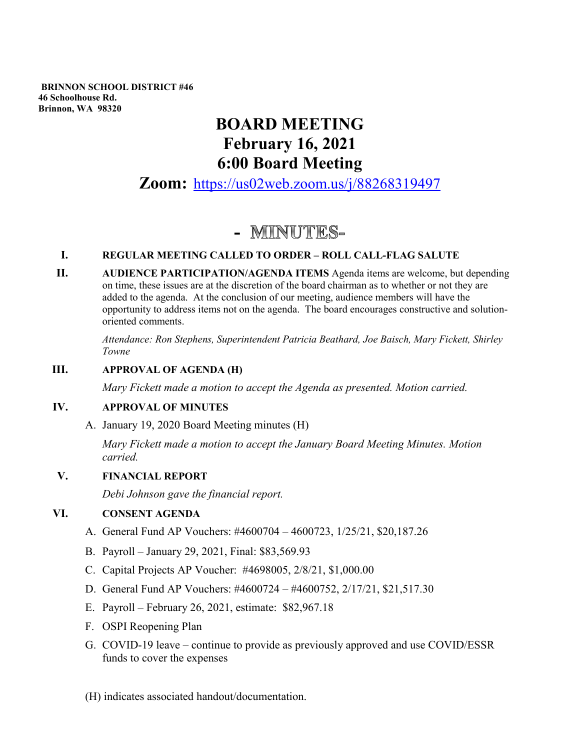**BRINNON SCHOOL DISTRICT #46 46 Schoolhouse Rd. Brinnon, WA 98320**

# **BOARD MEETING February 16, 2021 6:00 Board Meeting**

**Zoom:** <https://us02web.zoom.us/j/88268319497>

# - MINUTES-

## **I. REGULAR MEETING CALLED TO ORDER – ROLL CALL-FLAG SALUTE**

**II. AUDIENCE PARTICIPATION/AGENDA ITEMS** Agenda items are welcome, but depending on time, these issues are at the discretion of the board chairman as to whether or not they are added to the agenda. At the conclusion of our meeting, audience members will have the opportunity to address items not on the agenda. The board encourages constructive and solutionoriented comments.

*Attendance: Ron Stephens, Superintendent Patricia Beathard, Joe Baisch, Mary Fickett, Shirley Towne*

## **III. APPROVAL OF AGENDA (H)**

*Mary Fickett made a motion to accept the Agenda as presented. Motion carried.* 

## **IV. APPROVAL OF MINUTES**

A. January 19, 2020 Board Meeting minutes (H)

*Mary Fickett made a motion to accept the January Board Meeting Minutes. Motion carried.*

## **V. FINANCIAL REPORT**

*Debi Johnson gave the financial report.* 

#### **VI. CONSENT AGENDA**

- A. General Fund AP Vouchers: #4600704 4600723, 1/25/21, \$20,187.26
- B. Payroll January 29, 2021, Final: \$83,569.93
- C. Capital Projects AP Voucher: #4698005, 2/8/21, \$1,000.00
- D. General Fund AP Vouchers: #4600724 #4600752, 2/17/21, \$21,517.30
- E. Payroll February 26, 2021, estimate: \$82,967.18
- F. OSPI Reopening Plan
- G. COVID-19 leave continue to provide as previously approved and use COVID/ESSR funds to cover the expenses

(H) indicates associated handout/documentation.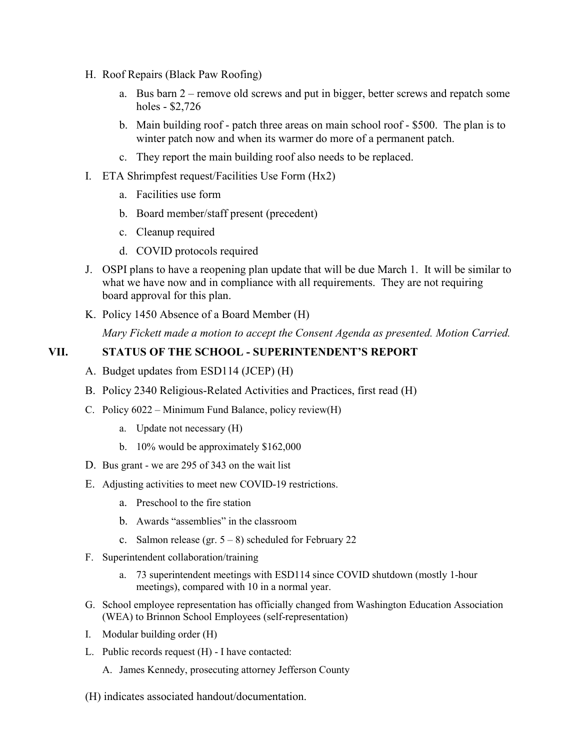- H. Roof Repairs (Black Paw Roofing)
	- a. Bus barn 2 remove old screws and put in bigger, better screws and repatch some holes - \$2,726
	- b. Main building roof patch three areas on main school roof \$500. The plan is to winter patch now and when its warmer do more of a permanent patch.
	- c. They report the main building roof also needs to be replaced.
- I. ETA Shrimpfest request/Facilities Use Form (Hx2)
	- a. Facilities use form
	- b. Board member/staff present (precedent)
	- c. Cleanup required
	- d. COVID protocols required
- J. OSPI plans to have a reopening plan update that will be due March 1. It will be similar to what we have now and in compliance with all requirements. They are not requiring board approval for this plan.
- K. Policy 1450 Absence of a Board Member (H)

*Mary Fickett made a motion to accept the Consent Agenda as presented. Motion Carried.*

## **VII. STATUS OF THE SCHOOL - SUPERINTENDENT'S REPORT**

- A. Budget updates from ESD114 (JCEP) (H)
- B. Policy 2340 Religious-Related Activities and Practices, first read (H)
- C. Policy 6022 Minimum Fund Balance, policy review(H)
	- a. Update not necessary (H)
	- b. 10% would be approximately \$162,000
- D. Bus grant we are 295 of 343 on the wait list
- E. Adjusting activities to meet new COVID-19 restrictions.
	- a. Preschool to the fire station
	- b. Awards "assemblies" in the classroom
	- c. Salmon release (gr.  $5 8$ ) scheduled for February 22
- F. Superintendent collaboration/training
	- a. 73 superintendent meetings with ESD114 since COVID shutdown (mostly 1-hour meetings), compared with 10 in a normal year.
- G. School employee representation has officially changed from Washington Education Association (WEA) to Brinnon School Employees (self-representation)
- I. Modular building order (H)
- L. Public records request (H) I have contacted:
	- A. James Kennedy, prosecuting attorney Jefferson County
- (H) indicates associated handout/documentation.